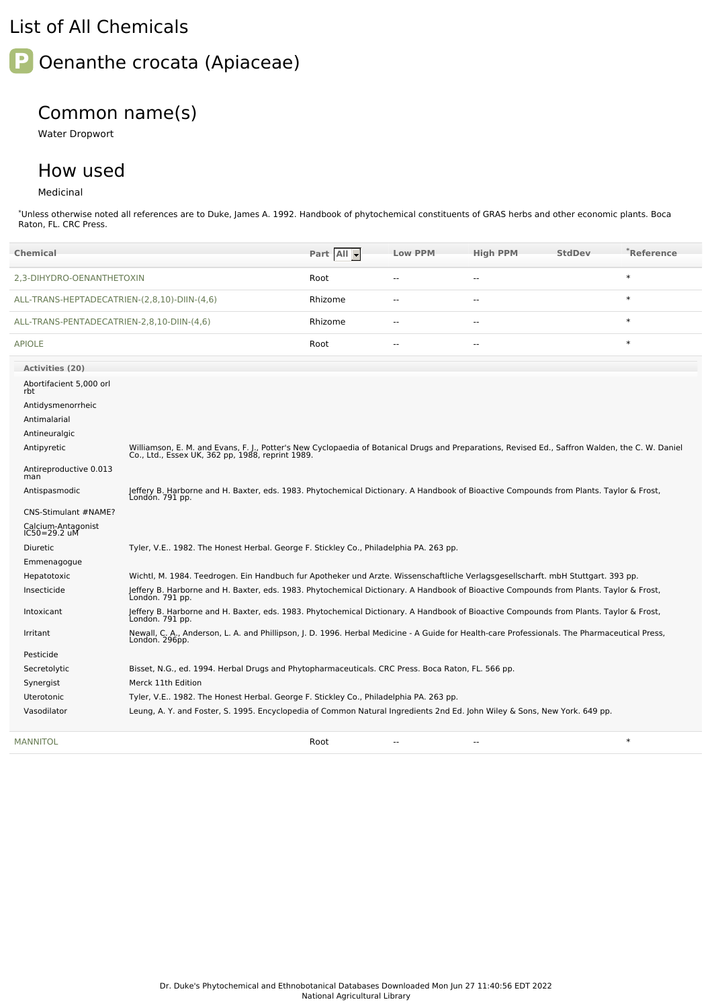## List of All Chemicals



## Common name(s)

Water Dropwort

## How used

## Medicinal

\*Unless otherwise noted all references are to Duke, James A. 1992. Handbook of phytochemical constituents of GRAS herbs and other economic plants. Boca Raton, FL. CRC Press.

|                                              | <b>Chemical</b>                                                                                                                                                          |                                                                                                                                                                                                     | Part All | <b>Low PPM</b> | <b>High PPM</b> | <b>StdDev</b> | $\degree$ Reference |  |  |  |
|----------------------------------------------|--------------------------------------------------------------------------------------------------------------------------------------------------------------------------|-----------------------------------------------------------------------------------------------------------------------------------------------------------------------------------------------------|----------|----------------|-----------------|---------------|---------------------|--|--|--|
| 2,3-DIHYDRO-OENANTHETOXIN                    |                                                                                                                                                                          |                                                                                                                                                                                                     | Root     | $\overline{a}$ | $\overline{a}$  |               | $\ast$              |  |  |  |
| ALL-TRANS-HEPTADECATRIEN-(2,8,10)-DIIN-(4,6) |                                                                                                                                                                          |                                                                                                                                                                                                     | Rhizome  | $\sim$         | $\overline{a}$  |               | $\ast$              |  |  |  |
| ALL-TRANS-PENTADECATRIEN-2,8,10-DIIN-(4,6)   |                                                                                                                                                                          | Rhizome                                                                                                                                                                                             | $\sim$   | $\overline{a}$ |                 | $\ast$        |                     |  |  |  |
|                                              | <b>APIOLE</b>                                                                                                                                                            |                                                                                                                                                                                                     | Root     | $\sim$         |                 |               | $\ast$              |  |  |  |
|                                              | <b>Activities (20)</b>                                                                                                                                                   |                                                                                                                                                                                                     |          |                |                 |               |                     |  |  |  |
|                                              | Abortifacient 5,000 orl<br>rbt                                                                                                                                           |                                                                                                                                                                                                     |          |                |                 |               |                     |  |  |  |
|                                              | Antidysmenorrheic                                                                                                                                                        |                                                                                                                                                                                                     |          |                |                 |               |                     |  |  |  |
|                                              | Antimalarial                                                                                                                                                             |                                                                                                                                                                                                     |          |                |                 |               |                     |  |  |  |
|                                              | Antineuralgic                                                                                                                                                            |                                                                                                                                                                                                     |          |                |                 |               |                     |  |  |  |
|                                              | Antipyretic                                                                                                                                                              | Williamson, E. M. and Evans, F. J., Potter's New Cyclopaedia of Botanical Drugs and Preparations, Revised Ed., Saffron Walden, the C. W. Daniel<br>Co., Ltd., Essex UK, 362 pp, 1988, reprint 1989. |          |                |                 |               |                     |  |  |  |
|                                              | Antireproductive 0.013<br>man                                                                                                                                            |                                                                                                                                                                                                     |          |                |                 |               |                     |  |  |  |
|                                              | Antispasmodic                                                                                                                                                            | Jeffery B. Harborne and H. Baxter, eds. 1983. Phytochemical Dictionary. A Handbook of Bioactive Compounds from Plants. Taylor & Frost,<br>Londón. 791 pp.                                           |          |                |                 |               |                     |  |  |  |
| CNS-Stimulant #NAME?                         |                                                                                                                                                                          |                                                                                                                                                                                                     |          |                |                 |               |                     |  |  |  |
|                                              | Calcium-Antagonist<br>IC50=29.2 uM                                                                                                                                       |                                                                                                                                                                                                     |          |                |                 |               |                     |  |  |  |
|                                              | Tyler, V.E 1982. The Honest Herbal. George F. Stickley Co., Philadelphia PA. 263 pp.<br><b>Diuretic</b>                                                                  |                                                                                                                                                                                                     |          |                |                 |               |                     |  |  |  |
|                                              | Emmenagogue                                                                                                                                                              |                                                                                                                                                                                                     |          |                |                 |               |                     |  |  |  |
|                                              | Hepatotoxic                                                                                                                                                              | Wichtl, M. 1984. Teedrogen. Ein Handbuch fur Apotheker und Arzte. Wissenschaftliche Verlagsgesellscharft. mbH Stuttgart. 393 pp.                                                                    |          |                |                 |               |                     |  |  |  |
|                                              | Jeffery B. Harborne and H. Baxter, eds. 1983. Phytochemical Dictionary. A Handbook of Bioactive Compounds from Plants. Taylor & Frost,<br>Insecticide<br>London. 791 pp. |                                                                                                                                                                                                     |          |                |                 |               |                     |  |  |  |
|                                              | Intoxicant                                                                                                                                                               | Jeffery B. Harborne and H. Baxter, eds. 1983. Phytochemical Dictionary. A Handbook of Bioactive Compounds from Plants. Taylor & Frost,<br>Londón. 791 pp.                                           |          |                |                 |               |                     |  |  |  |
|                                              | Irritant                                                                                                                                                                 | Newall, C. A., Anderson, L. A. and Phillipson, J. D. 1996. Herbal Medicine - A Guide for Health-care Professionals. The Pharmaceutical Press,<br>London. 296pp.                                     |          |                |                 |               |                     |  |  |  |
|                                              | Pesticide                                                                                                                                                                |                                                                                                                                                                                                     |          |                |                 |               |                     |  |  |  |
|                                              | Secretolytic                                                                                                                                                             | Bisset, N.G., ed. 1994. Herbal Drugs and Phytopharmaceuticals. CRC Press. Boca Raton, FL. 566 pp.                                                                                                   |          |                |                 |               |                     |  |  |  |
|                                              | Synergist                                                                                                                                                                | Merck 11th Edition                                                                                                                                                                                  |          |                |                 |               |                     |  |  |  |
|                                              | Tyler, V.E 1982. The Honest Herbal. George F. Stickley Co., Philadelphia PA. 263 pp.<br>Uterotonic                                                                       |                                                                                                                                                                                                     |          |                |                 |               |                     |  |  |  |
|                                              | Vasodilator                                                                                                                                                              | Leung, A. Y. and Foster, S. 1995. Encyclopedia of Common Natural Ingredients 2nd Ed. John Wiley & Sons, New York. 649 pp.                                                                           |          |                |                 |               |                     |  |  |  |
|                                              | <b>MANNITOL</b>                                                                                                                                                          |                                                                                                                                                                                                     | Root     |                | $-$             |               | $\ast$              |  |  |  |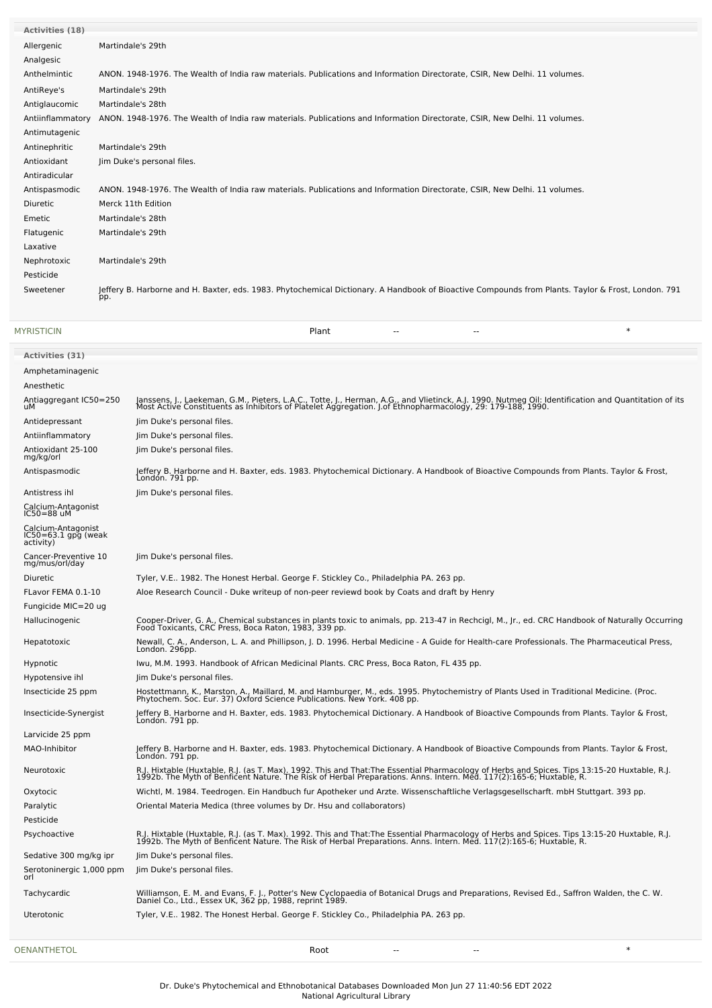| <b>Activities (18)</b> |                                                                                                                                                           |
|------------------------|-----------------------------------------------------------------------------------------------------------------------------------------------------------|
| Allergenic             | Martindale's 29th                                                                                                                                         |
| Analgesic              |                                                                                                                                                           |
| Anthelmintic           | ANON. 1948-1976. The Wealth of India raw materials. Publications and Information Directorate, CSIR, New Delhi. 11 volumes.                                |
| AntiReye's             | Martindale's 29th                                                                                                                                         |
| Antiglaucomic          | Martindale's 28th                                                                                                                                         |
| Antiinflammatory       | ANON. 1948-1976. The Wealth of India raw materials. Publications and Information Directorate, CSIR, New Delhi. 11 volumes.                                |
| Antimutagenic          |                                                                                                                                                           |
| Antinephritic          | Martindale's 29th                                                                                                                                         |
| Antioxidant            | Jim Duke's personal files.                                                                                                                                |
| Antiradicular          |                                                                                                                                                           |
| Antispasmodic          | ANON. 1948-1976. The Wealth of India raw materials. Publications and Information Directorate, CSIR, New Delhi. 11 volumes.                                |
| Diuretic               | Merck 11th Edition                                                                                                                                        |
| Emetic                 | Martindale's 28th                                                                                                                                         |
| Flatugenic             | Martindale's 29th                                                                                                                                         |
| Laxative               |                                                                                                                                                           |
| Nephrotoxic            | Martindale's 29th                                                                                                                                         |
| Pesticide              |                                                                                                                                                           |
| Sweetener              | Jeffery B. Harborne and H. Baxter, eds. 1983. Phytochemical Dictionary. A Handbook of Bioactive Compounds from Plants. Taylor & Frost, London. 791<br>pp. |

[MYRISTICIN](file:///phytochem/chemicals/show/12645) Plant -- -- \*

| <b>Activities (31)</b>                                 |                                                                                                                                                                                                                                   |
|--------------------------------------------------------|-----------------------------------------------------------------------------------------------------------------------------------------------------------------------------------------------------------------------------------|
| Amphetaminagenic                                       |                                                                                                                                                                                                                                   |
| Anesthetic                                             |                                                                                                                                                                                                                                   |
| Antiaggregant IC50=250<br>uМ                           | Janssens, J., Laekeman, G.M., Pieters, L.A.C., Totte, J., Herman, A.G., and Vlietinck, A.J. 1990. Nutmeg Oil: Identification and Quantitation of its<br>Most Active Constituents as Inhibitors of Platelet Aggregation. J.of Ethn |
| Antidepressant                                         | Jim Duke's personal files.                                                                                                                                                                                                        |
| Antiinflammatory                                       | Jim Duke's personal files.                                                                                                                                                                                                        |
| Antioxidant 25-100<br>mg/kg/orl                        | Jim Duke's personal files.                                                                                                                                                                                                        |
| Antispasmodic                                          | Jeffery B. Harborne and H. Baxter, eds. 1983. Phytochemical Dictionary. A Handbook of Bioactive Compounds from Plants. Taylor & Frost,<br>Londón. 791 pp.                                                                         |
| Antistress ihl                                         | Jim Duke's personal files.                                                                                                                                                                                                        |
| Calcium-Antagonist<br>$IC50 = 88$ uM                   |                                                                                                                                                                                                                                   |
| Calcium-Antagonist<br>IC50=63.1 gpg (weak<br>activity) |                                                                                                                                                                                                                                   |
| Cancer-Preventive 10<br>mg/mus/orl/day                 | Jim Duke's personal files.                                                                                                                                                                                                        |
| Diuretic                                               | Tyler, V.E., 1982. The Honest Herbal. George F. Stickley Co., Philadelphia PA. 263 pp.                                                                                                                                            |
| FLavor FEMA 0.1-10                                     | Aloe Research Council - Duke writeup of non-peer reviewd book by Coats and draft by Henry                                                                                                                                         |
| Fungicide MIC=20 ug                                    |                                                                                                                                                                                                                                   |
| Hallucinogenic                                         | Cooper-Driver, G. A., Chemical substances in plants toxic to animals, pp. 213-47 in Rechcigl, M., Jr., ed. CRC Handbook of Naturally Occurring<br>Food Toxicants, CRC Press, Boca Raton, 1983, 339 pp.                            |
| Hepatotoxic                                            | Newall, C. A., Anderson, L. A. and Phillipson, J. D. 1996. Herbal Medicine - A Guide for Health-care Professionals. The Pharmaceutical Press,<br>London. 296pp.                                                                   |
| Hypnotic                                               | Iwu, M.M. 1993. Handbook of African Medicinal Plants. CRC Press, Boca Raton, FL 435 pp.                                                                                                                                           |
| Hypotensive ihl                                        | Jim Duke's personal files.                                                                                                                                                                                                        |
| Insecticide 25 ppm                                     | Hostettmann, K., Marston, A., Maillard, M. and Hamburger, M., eds. 1995. Phytochemistry of Plants Used in Traditional Medicine. (Proc.<br>Phytochem. Soc. Eur. 37) Oxford Science Publications. New York. 408 pp.                 |
| Insecticide-Synergist                                  | Jeffery B. Harborne and H. Baxter, eds. 1983. Phytochemical Dictionary. A Handbook of Bioactive Compounds from Plants. Taylor & Frost,<br>Londón. 791 pp.                                                                         |
| Larvicide 25 ppm                                       |                                                                                                                                                                                                                                   |
| MAO-Inhibitor                                          | Jeffery B. Harborne and H. Baxter, eds. 1983. Phytochemical Dictionary. A Handbook of Bioactive Compounds from Plants. Taylor & Frost,<br>London. 791 pp.                                                                         |
| Neurotoxic                                             | R.J. Hixtable (Huxtable, R.J. (as T. Max). 1992. This and That:The Essential Pharmacology of Herbs and Spices. Tips 13:15-20 Huxtable, R.J.<br>1992b. The Myth of Benficent Nature. The Risk of Herbal Preparations. Anns. Intern |
| Oxytocic                                               | Wichtl, M. 1984. Teedrogen. Ein Handbuch fur Apotheker und Arzte. Wissenschaftliche Verlagsgesellscharft. mbH Stuttgart. 393 pp.                                                                                                  |
| Paralytic                                              | Oriental Materia Medica (three volumes by Dr. Hsu and collaborators)                                                                                                                                                              |
| Pesticide                                              |                                                                                                                                                                                                                                   |
| Psychoactive                                           | R.J. Hixtable (Huxtable, R.J. (as T. Max). 1992. This and That:The Essential Pharmacology of Herbs and Spices. Tips 13:15-20 Huxtable, R.J.<br>1992b. The Myth of Benficent Nature. The Risk of Herbal Preparations. Anns. Intern |
| Sedative 300 mg/kg ipr                                 | Jim Duke's personal files.                                                                                                                                                                                                        |
| Serotoninergic 1,000 ppm<br>orl                        | Jim Duke's personal files.                                                                                                                                                                                                        |
| Tachycardic                                            | Williamson, E. M. and Evans, F. J., Potter's New Cyclopaedia of Botanical Drugs and Preparations, Revised Ed., Saffron Walden, the C. W.<br>Daniel Co., Ltd., Essex UK, 362 pp, 1988, reprint 1989.                               |
| Uterotonic                                             | Tyler, V.E 1982. The Honest Herbal. George F. Stickley Co., Philadelphia PA. 263 pp.                                                                                                                                              |
| <b>OENANTHETOL</b>                                     | $\ast$<br>Root<br>$\overline{a}$<br>$\sim$                                                                                                                                                                                        |